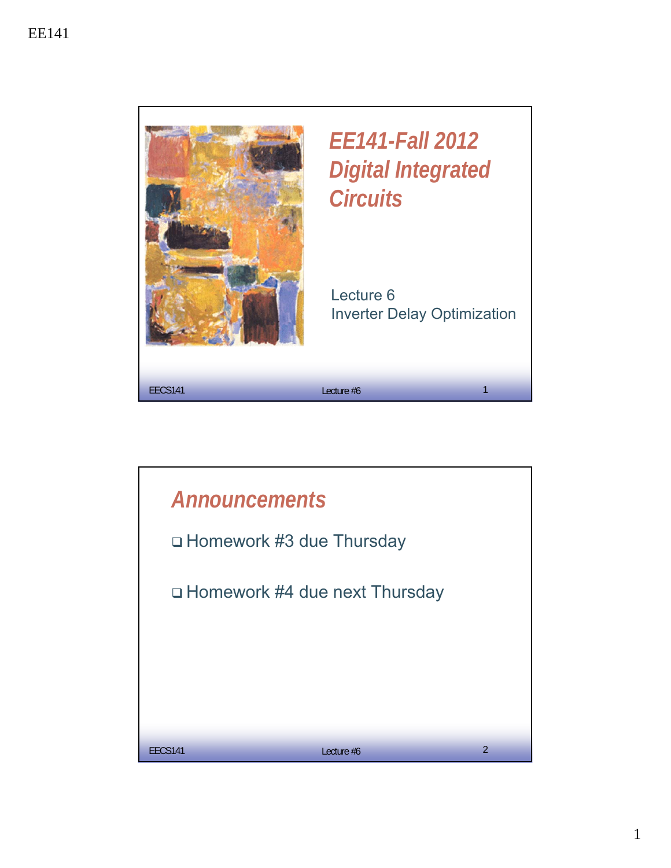

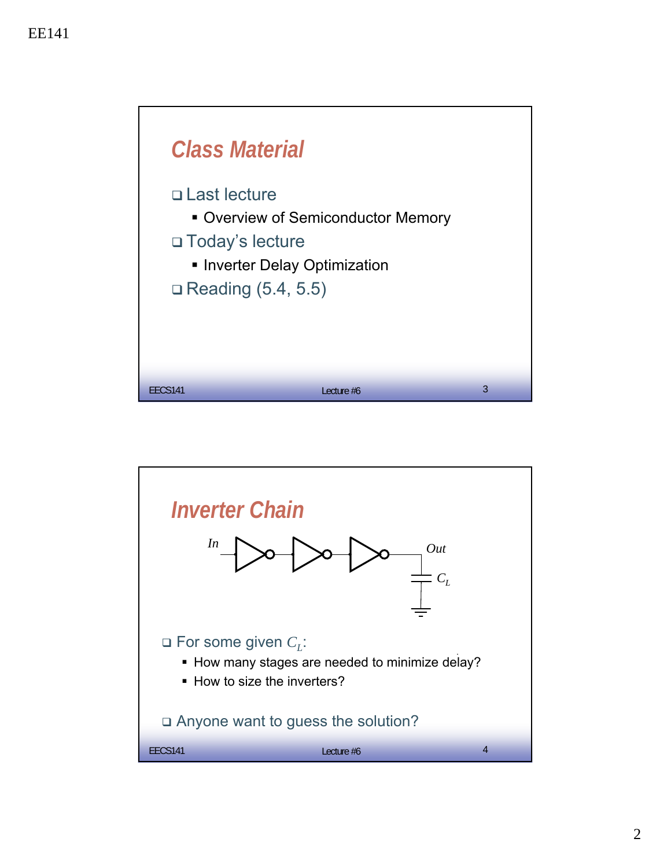

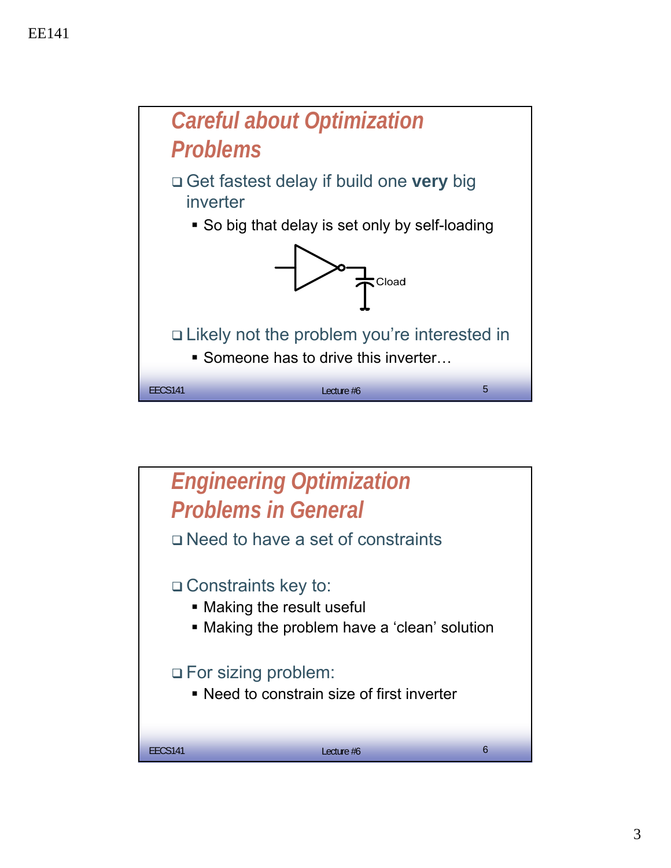

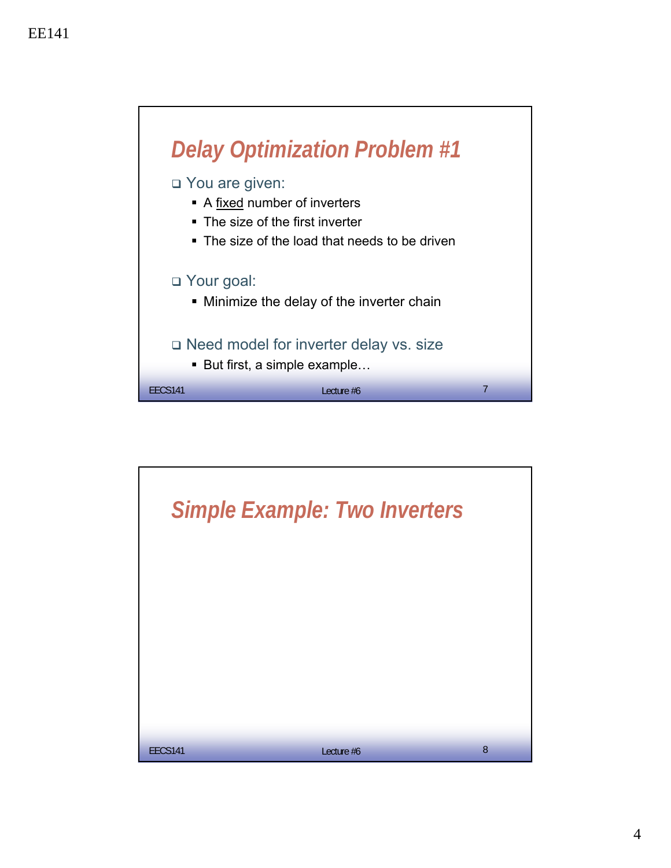

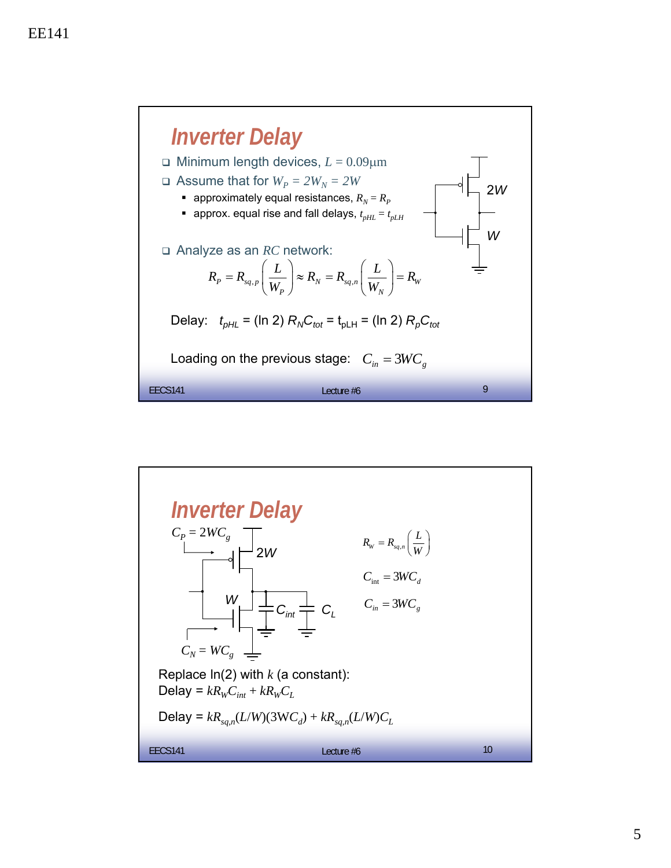

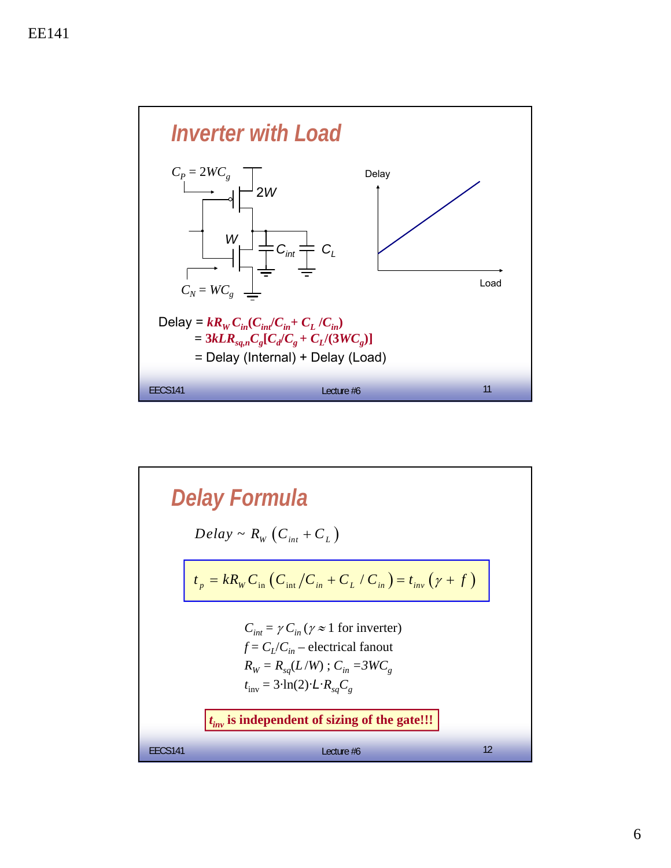

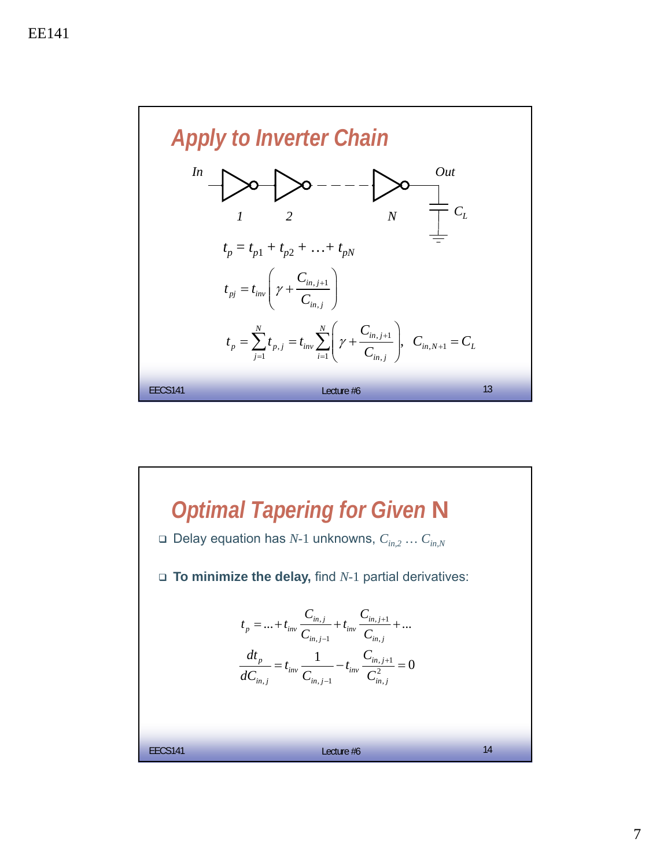

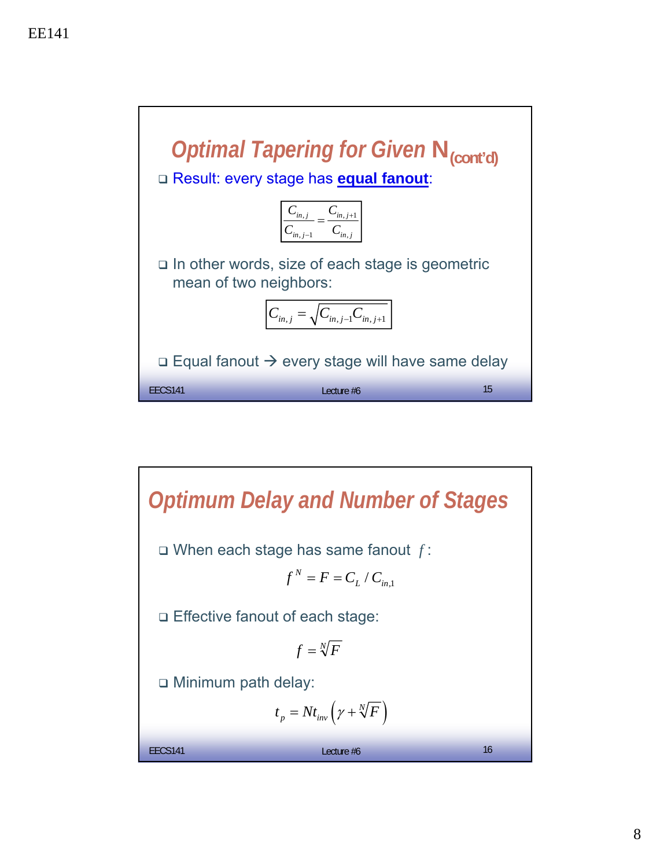

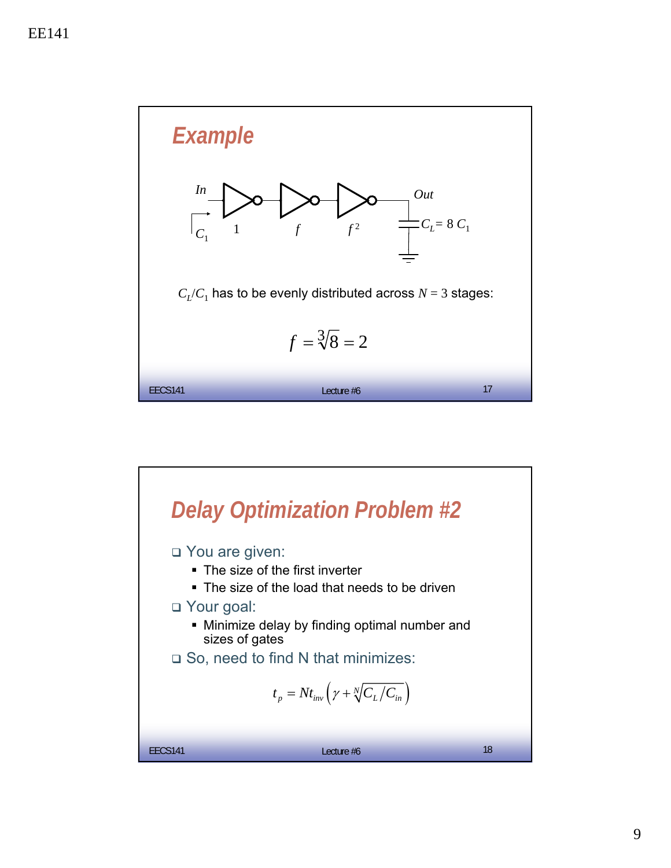

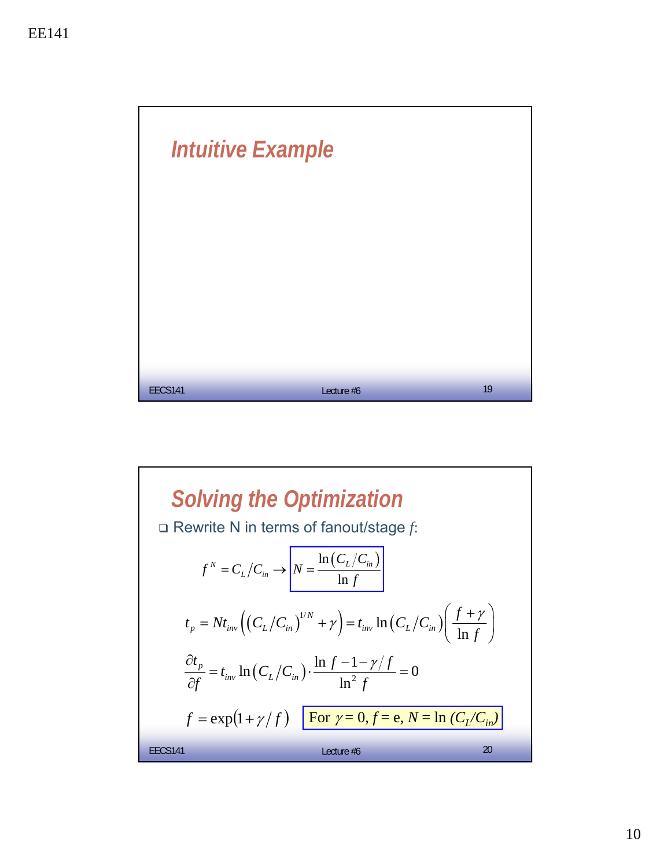

Solving the Optimization  
\n
$$
\Box \text{ Rewrite N in terms of fanout/stage } f:
$$
\n
$$
f^N = C_L/C_{in} \rightarrow \left[ N = \frac{\ln(C_L/C_{in})}{\ln f} \right]
$$
\n
$$
t_p = Nt_{inv} \left( (C_L/C_{in})^{1/N} + \gamma \right) = t_{inv} \ln(C_L/C_{in}) \left( \frac{f + \gamma}{\ln f} \right)
$$
\n
$$
\frac{\partial t_p}{\partial f} = t_{inv} \ln(C_L/C_{in}) \cdot \frac{\ln f - 1 - \gamma/f}{\ln^2 f} = 0
$$
\n
$$
f = \exp(1 + \gamma/f) \quad \text{For } \gamma = 0, f = e, N = \ln(C_L/C_{in})
$$
\n
$$
\text{EECS141} \qquad \text{Lecture } \#6 \qquad 20
$$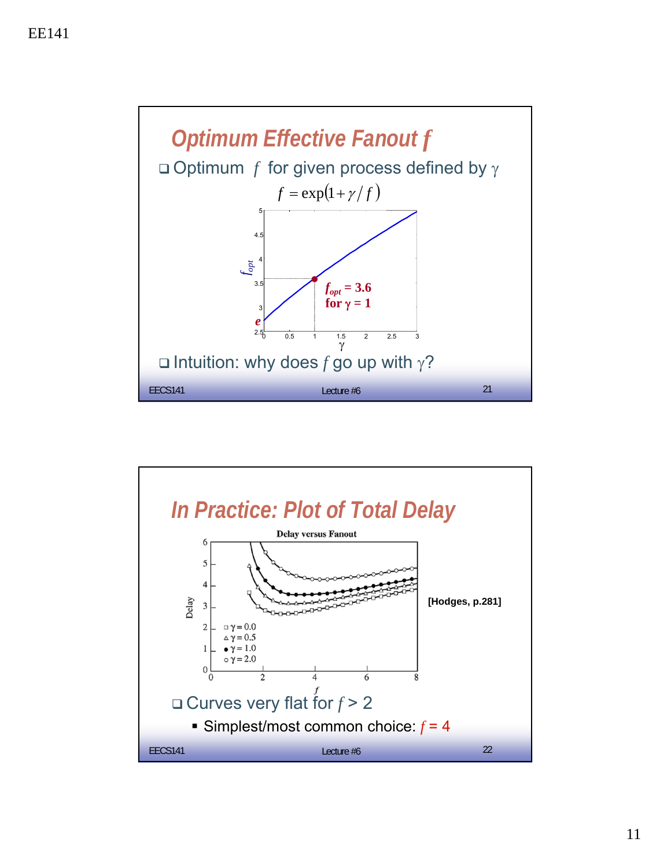

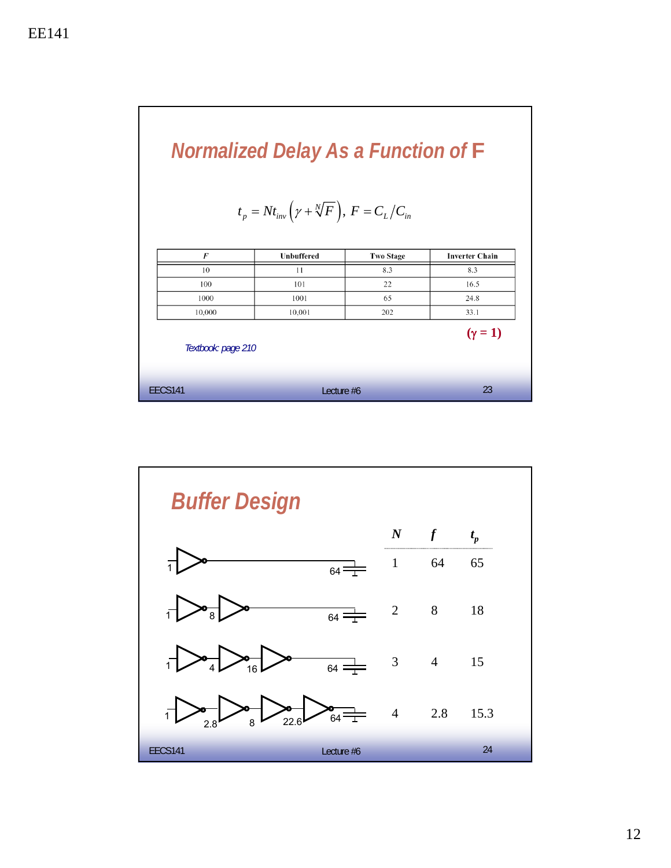

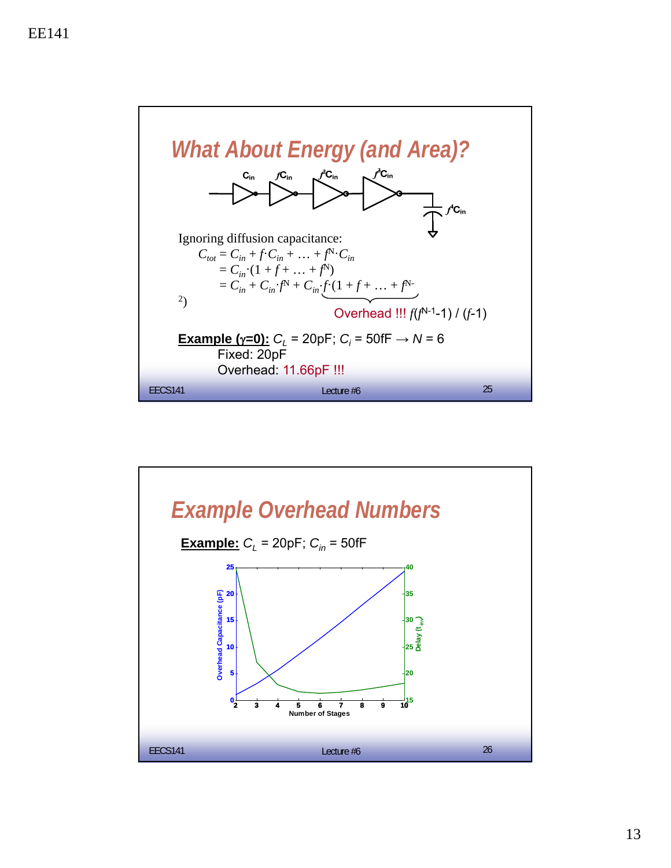